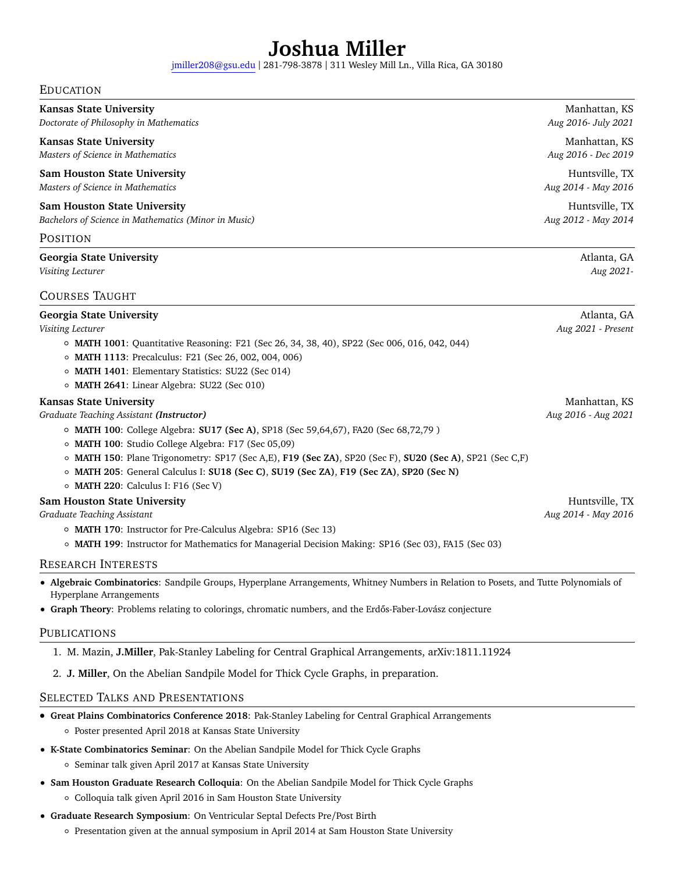# **[Joshua Miller](abhoi.github.io)**

[jmiller208@gsu.edu](mailto:jgm019@ksu.edu) | 281-798-3878 | 311 Wesley Mill Ln., Villa Rica, GA 30180

#### EDUCATION

| <b>Kansas State University</b><br>Doctorate of Philosophy in Mathematics                                                                                                                                                                                                                                                                                                                                                                                               | Manhattan, KS<br>Aug 2016- July 2021  |
|------------------------------------------------------------------------------------------------------------------------------------------------------------------------------------------------------------------------------------------------------------------------------------------------------------------------------------------------------------------------------------------------------------------------------------------------------------------------|---------------------------------------|
| <b>Kansas State University</b><br>Masters of Science in Mathematics                                                                                                                                                                                                                                                                                                                                                                                                    | Manhattan, KS<br>Aug 2016 - Dec 2019  |
| <b>Sam Houston State University</b><br>Masters of Science in Mathematics                                                                                                                                                                                                                                                                                                                                                                                               | Huntsville, TX<br>Aug 2014 - May 2016 |
| <b>Sam Houston State University</b><br>Bachelors of Science in Mathematics (Minor in Music)                                                                                                                                                                                                                                                                                                                                                                            | Huntsville, TX<br>Aug 2012 - May 2014 |
| POSITION                                                                                                                                                                                                                                                                                                                                                                                                                                                               |                                       |
| <b>Georgia State University</b><br>Visiting Lecturer                                                                                                                                                                                                                                                                                                                                                                                                                   | Atlanta, GA<br>Aug 2021-              |
| <b>COURSES TAUGHT</b>                                                                                                                                                                                                                                                                                                                                                                                                                                                  |                                       |
| <b>Georgia State University</b><br>Visiting Lecturer<br>o MATH 1001: Quantitative Reasoning: F21 (Sec 26, 34, 38, 40), SP22 (Sec 006, 016, 042, 044)<br>o MATH 1113: Precalculus: F21 (Sec 26, 002, 004, 006)<br>o MATH 1401: Elementary Statistics: SU22 (Sec 014)<br>o MATH 2641: Linear Algebra: SU22 (Sec 010)                                                                                                                                                     | Atlanta, GA<br>Aug 2021 - Present     |
| <b>Kansas State University</b><br>Graduate Teaching Assistant (Instructor)<br>o MATH 100: College Algebra: SU17 (Sec A), SP18 (Sec 59,64,67), FA20 (Sec 68,72,79)<br>o MATH 100: Studio College Algebra: F17 (Sec 05,09)<br>o MATH 150: Plane Trigonometry: SP17 (Sec A,E), F19 (Sec ZA), SP20 (Sec F), SU20 (Sec A), SP21 (Sec C,F)<br>o MATH 205: General Calculus I: SU18 (Sec C), SU19 (Sec ZA), F19 (Sec ZA), SP20 (Sec N)<br>o MATH 220: Calculus I: F16 (Sec V) | Manhattan, KS<br>Aug 2016 - Aug 2021  |
| <b>Sam Houston State University</b><br>Graduate Teaching Assistant<br>o MATH 170: Instructor for Pre-Calculus Algebra: SP16 (Sec 13)<br>o MATH 199: Instructor for Mathematics for Managerial Decision Making: SP16 (Sec 03), FA15 (Sec 03)                                                                                                                                                                                                                            | Huntsville, TX<br>Aug 2014 - May 2016 |
| <b>RESEARCH INTERESTS</b>                                                                                                                                                                                                                                                                                                                                                                                                                                              |                                       |
| • Algebraic Combinatorics: Sandpile Groups, Hyperplane Arrangements, Whitney Numbers in Relation to Posets, and Tutte Polynomials of<br>Hyperplane Arrangements<br>· Graph Theory: Problems relating to colorings, chromatic numbers, and the Erdős-Faber-Lovász conjecture                                                                                                                                                                                            |                                       |
| PUBLICATIONS                                                                                                                                                                                                                                                                                                                                                                                                                                                           |                                       |
| 1. M. Mazin, J. Miller, Pak-Stanley Labeling for Central Graphical Arrangements, arXiv:1811.11924                                                                                                                                                                                                                                                                                                                                                                      |                                       |
| 2. J. Miller, On the Abelian Sandpile Model for Thick Cycle Graphs, in preparation.                                                                                                                                                                                                                                                                                                                                                                                    |                                       |
| <b>SELECTED TALKS AND PRESENTATIONS</b>                                                                                                                                                                                                                                                                                                                                                                                                                                |                                       |
| • Great Plains Combinatorics Conference 2018: Pak-Stanley Labeling for Central Graphical Arrangements                                                                                                                                                                                                                                                                                                                                                                  |                                       |

- Poster presented April 2018 at Kansas State University
- **K-State Combinatorics Seminar**: On the Abelian Sandpile Model for Thick Cycle Graphs
	- Seminar talk given April 2017 at Kansas State University
- **Sam Houston Graduate Research Colloquia**: On the Abelian Sandpile Model for Thick Cycle Graphs ◦ Colloquia talk given April 2016 in Sam Houston State University
- **Graduate Research Symposium**: On Ventricular Septal Defects Pre/Post Birth
	- Presentation given at the annual symposium in April 2014 at Sam Houston State University